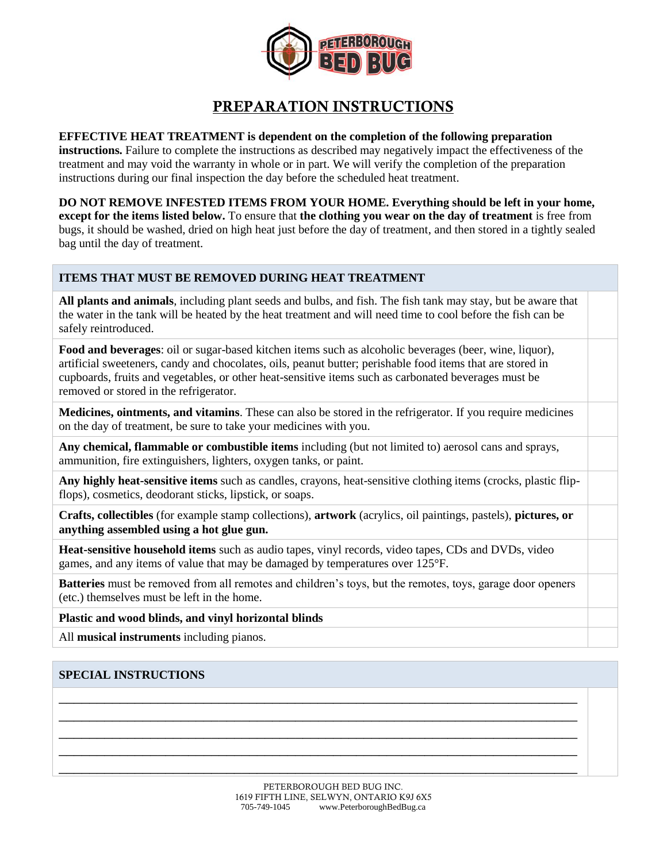

# **PREPARATION INSTRUCTIONS**

#### **EFFECTIVE HEAT TREATMENT is dependent on the completion of the following preparation**

**instructions.** Failure to complete the instructions as described may negatively impact the effectiveness of the treatment and may void the warranty in whole or in part. We will verify the completion of the preparation instructions during our final inspection the day before the scheduled heat treatment.

**DO NOT REMOVE INFESTED ITEMS FROM YOUR HOME. Everything should be left in your home, except for the items listed below.** To ensure that **the clothing you wear on the day of treatment** is free from bugs, it should be washed, dried on high heat just before the day of treatment, and then stored in a tightly sealed bag until the day of treatment.

## **ITEMS THAT MUST BE REMOVED DURING HEAT TREATMENT**

**All plants and animals**, including plant seeds and bulbs, and fish. The fish tank may stay, but be aware that the water in the tank will be heated by the heat treatment and will need time to cool before the fish can be safely reintroduced.

**Food and beverages**: oil or sugar-based kitchen items such as alcoholic beverages (beer, wine, liquor), artificial sweeteners, candy and chocolates, oils, peanut butter; perishable food items that are stored in cupboards, fruits and vegetables, or other heat-sensitive items such as carbonated beverages must be removed or stored in the refrigerator.

**Medicines, ointments, and vitamins**. These can also be stored in the refrigerator. If you require medicines on the day of treatment, be sure to take your medicines with you.

**Any chemical, flammable or combustible items** including (but not limited to) aerosol cans and sprays, ammunition, fire extinguishers, lighters, oxygen tanks, or paint.

**Any highly heat-sensitive items** such as candles, crayons, heat-sensitive clothing items (crocks, plastic flipflops), cosmetics, deodorant sticks, lipstick, or soaps.

**Crafts, collectibles** (for example stamp collections), **artwork** (acrylics, oil paintings, pastels), **pictures, or anything assembled using a hot glue gun.**

**Heat-sensitive household items** such as audio tapes, vinyl records, video tapes, CDs and DVDs, video games, and any items of value that may be damaged by temperatures over 125°F.

**Batteries** must be removed from all remotes and children's toys, but the remotes, toys, garage door openers (etc.) themselves must be left in the home.

\_\_\_\_\_\_\_\_\_\_\_\_\_\_\_\_\_\_\_\_\_\_\_\_\_\_\_\_\_\_\_\_\_\_\_\_\_\_\_\_\_\_\_\_\_\_\_\_\_\_\_\_\_\_\_\_\_\_\_\_\_\_\_\_\_\_\_\_ \_\_\_\_\_\_\_\_\_\_\_\_\_\_\_\_\_\_\_\_\_\_\_\_\_\_\_\_\_\_\_\_\_\_\_\_\_\_\_\_\_\_\_\_\_\_\_\_\_\_\_\_\_\_\_\_\_\_\_\_\_\_\_\_\_\_\_\_ \_\_\_\_\_\_\_\_\_\_\_\_\_\_\_\_\_\_\_\_\_\_\_\_\_\_\_\_\_\_\_\_\_\_\_\_\_\_\_\_\_\_\_\_\_\_\_\_\_\_\_\_\_\_\_\_\_\_\_\_\_\_\_\_\_\_\_\_ \_\_\_\_\_\_\_\_\_\_\_\_\_\_\_\_\_\_\_\_\_\_\_\_\_\_\_\_\_\_\_\_\_\_\_\_\_\_\_\_\_\_\_\_\_\_\_\_\_\_\_\_\_\_\_\_\_\_\_\_\_\_\_\_\_\_\_\_ \_\_\_\_\_\_\_\_\_\_\_\_\_\_\_\_\_\_\_\_\_\_\_\_\_\_\_\_\_\_\_\_\_\_\_\_\_\_\_\_\_\_\_\_\_\_\_\_\_\_\_\_\_\_\_\_\_\_\_\_\_\_\_\_\_\_\_\_

**Plastic and wood blinds, and vinyl horizontal blinds**

All **musical instruments** including pianos.

## **SPECIAL INSTRUCTIONS**